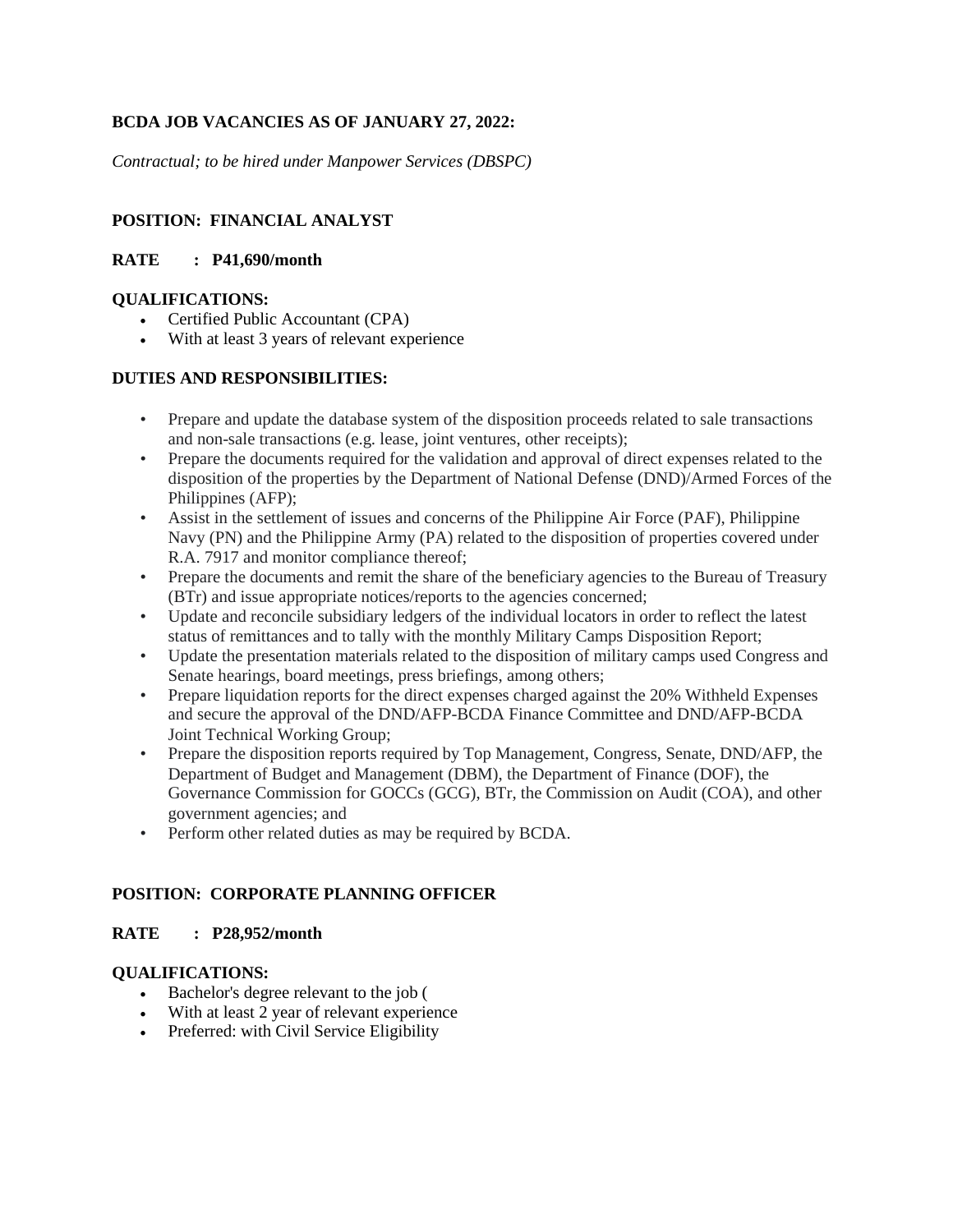# **BCDA JOB VACANCIES AS OF JANUARY 27, 2022:**

*Contractual; to be hired under Manpower Services (DBSPC)*

## **POSITION: FINANCIAL ANALYST**

### **RATE : P41,690/month**

#### **QUALIFICATIONS:**

- Certified Public Accountant (CPA)
- With at least 3 years of relevant experience

#### **DUTIES AND RESPONSIBILITIES:**

- Prepare and update the database system of the disposition proceeds related to sale transactions and non-sale transactions (e.g. lease, joint ventures, other receipts);
- Prepare the documents required for the validation and approval of direct expenses related to the disposition of the properties by the Department of National Defense (DND)/Armed Forces of the Philippines (AFP);
- Assist in the settlement of issues and concerns of the Philippine Air Force (PAF), Philippine Navy (PN) and the Philippine Army (PA) related to the disposition of properties covered under R.A. 7917 and monitor compliance thereof;
- Prepare the documents and remit the share of the beneficiary agencies to the Bureau of Treasury (BTr) and issue appropriate notices/reports to the agencies concerned;
- Update and reconcile subsidiary ledgers of the individual locators in order to reflect the latest status of remittances and to tally with the monthly Military Camps Disposition Report;
- Update the presentation materials related to the disposition of military camps used Congress and Senate hearings, board meetings, press briefings, among others;
- Prepare liquidation reports for the direct expenses charged against the 20% Withheld Expenses and secure the approval of the DND/AFP-BCDA Finance Committee and DND/AFP-BCDA Joint Technical Working Group;
- Prepare the disposition reports required by Top Management, Congress, Senate, DND/AFP, the Department of Budget and Management (DBM), the Department of Finance (DOF), the Governance Commission for GOCCs (GCG), BTr, the Commission on Audit (COA), and other government agencies; and
- Perform other related duties as may be required by BCDA.

# **POSITION: CORPORATE PLANNING OFFICER**

#### **RATE : P28,952/month**

#### **QUALIFICATIONS:**

- Bachelor's degree relevant to the job (
- With at least 2 year of relevant experience
- Preferred: with Civil Service Eligibility